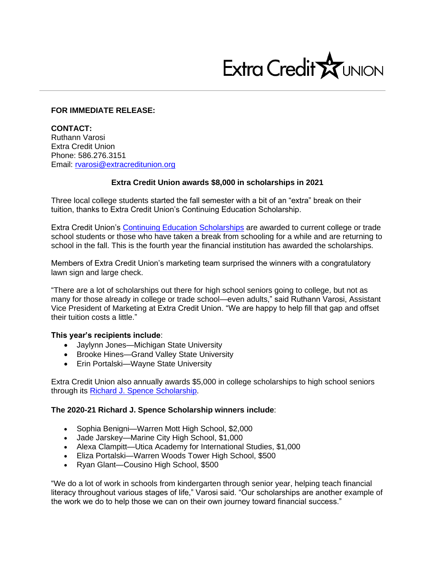

## **FOR IMMEDIATE RELEASE:**

**CONTACT:** Ruthann Varosi Extra Credit Union Phone: 586.276.3151 Email: [rvarosi@extracreditunion.org](mailto:rvarosi@extracreditunion.org)

## **Extra Credit Union awards \$8,000 in scholarships in 2021**

Three local college students started the fall semester with a bit of an "extra" break on their tuition, thanks to Extra Credit Union's Continuing Education Scholarship.

Extra Credit Union's [Continuing Education Scholarships](https://www.extracreditunion.org/resources/schoolscommunity-connection/our-programs-in-the-schools#Continuing%20Education) are awarded to current college or trade school students or those who have taken a break from schooling for a while and are returning to school in the fall. This is the fourth year the financial institution has awarded the scholarships.

Members of Extra Credit Union's marketing team surprised the winners with a congratulatory lawn sign and large check.

"There are a lot of scholarships out there for high school seniors going to college, but not as many for those already in college or trade school—even adults," said Ruthann Varosi, Assistant Vice President of Marketing at Extra Credit Union. "We are happy to help fill that gap and offset their tuition costs a little."

## **This year's recipients include**:

- Jaylynn Jones—Michigan State University
- Brooke Hines—Grand Valley State University
- Erin Portalski—Wayne State University

Extra Credit Union also annually awards \$5,000 in college scholarships to high school seniors through its [Richard J. Spence Scholarship.](https://www.extracreditunion.org/resources/schoolscommunity-connection/our-programs-in-the-schools#scholarship)

## **The 2020-21 Richard J. Spence Scholarship winners include**:

- Sophia Benigni—Warren Mott High School, \$2,000
- Jade Jarskey—Marine City High School, \$1,000
- Alexa Clampitt—Utica Academy for International Studies, \$1,000
- Eliza Portalski—Warren Woods Tower High School, \$500
- Ryan Glant—Cousino High School, \$500

"We do a lot of work in schools from kindergarten through senior year, helping teach financial literacy throughout various stages of life," Varosi said. "Our scholarships are another example of the work we do to help those we can on their own journey toward financial success."